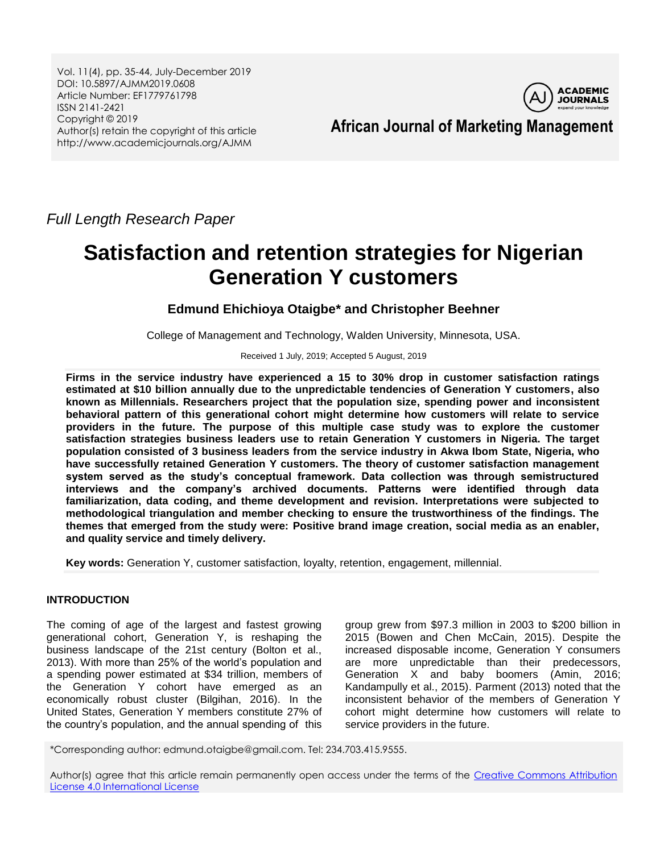Vol. 11(4), pp. 35-44, July-December 2019 DOI: 10.5897/AJMM2019.0608 Article Number: EF1779761798 ISSN 2141-2421 Copyright © 2019 Author(s) retain the copyright of this article http://www.academicjournals.org/AJMM



# **African Journal of Marketing Management**

*Full Length Research Paper*

# **Satisfaction and retention strategies for Nigerian Generation Y customers**

**Edmund Ehichioya Otaigbe\* and Christopher Beehner**

College of Management and Technology, Walden University, Minnesota, USA.

Received 1 July, 2019; Accepted 5 August, 2019

**Firms in the service industry have experienced a 15 to 30% drop in customer satisfaction ratings estimated at \$10 billion annually due to the unpredictable tendencies of Generation Y customers, also known as Millennials. Researchers project that the population size, spending power and inconsistent behavioral pattern of this generational cohort might determine how customers will relate to service providers in the future. The purpose of this multiple case study was to explore the customer satisfaction strategies business leaders use to retain Generation Y customers in Nigeria. The target population consisted of 3 business leaders from the service industry in Akwa Ibom State, Nigeria, who have successfully retained Generation Y customers. The theory of customer satisfaction management system served as the study's conceptual framework. Data collection was through semistructured interviews and the company's archived documents. Patterns were identified through data familiarization, data coding, and theme development and revision. Interpretations were subjected to methodological triangulation and member checking to ensure the trustworthiness of the findings. The themes that emerged from the study were: Positive brand image creation, social media as an enabler, and quality service and timely delivery.** 

**Key words:** Generation Y, customer satisfaction, loyalty, retention, engagement, millennial.

# **INTRODUCTION**

The coming of age of the largest and fastest growing generational cohort, Generation Y, is reshaping the business landscape of the 21st century (Bolton et al., 2013). With more than 25% of the world"s population and a spending power estimated at \$34 trillion, members of the Generation Y cohort have emerged as an economically robust cluster (Bilgihan, 2016). In the United States, Generation Y members constitute 27% of the country"s population, and the annual spending of this

group grew from \$97.3 million in 2003 to \$200 billion in 2015 (Bowen and Chen McCain, 2015). Despite the increased disposable income, Generation Y consumers are more unpredictable than their predecessors, Generation X and baby boomers (Amin, 2016; Kandampully et al., 2015). Parment (2013) noted that the inconsistent behavior of the members of Generation Y cohort might determine how customers will relate to service providers in the future.

\*Corresponding author: edmund.otaigbe@gmail.com. Tel: 234.703.415.9555.

Author(s) agree that this article remain permanently open access under the terms of the Creative Commons Attribution [License 4.0 International License](http://creativecommons.org/licenses/by/4.0/deed.en_US)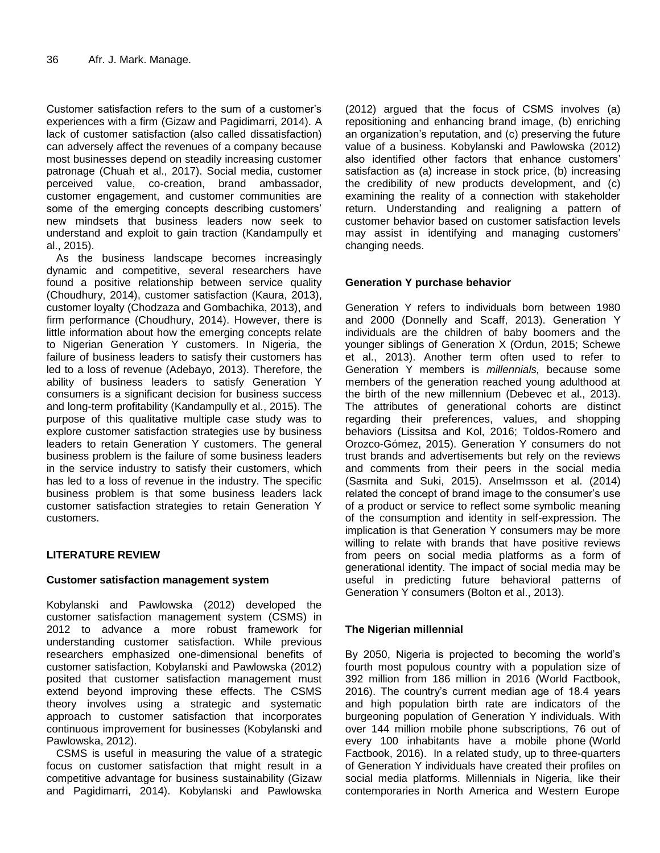Customer satisfaction refers to the sum of a customer"s experiences with a firm (Gizaw and Pagidimarri, 2014). A lack of customer satisfaction (also called dissatisfaction) can adversely affect the revenues of a company because most businesses depend on steadily increasing customer patronage (Chuah et al., 2017). Social media, customer perceived value, co-creation, brand ambassador, customer engagement, and customer communities are some of the emerging concepts describing customers' new mindsets that business leaders now seek to understand and exploit to gain traction (Kandampully et al., 2015).

As the business landscape becomes increasingly dynamic and competitive, several researchers have found a positive relationship between service quality (Choudhury, 2014), customer satisfaction (Kaura, 2013), customer loyalty (Chodzaza and Gombachika, 2013), and firm performance (Choudhury, 2014). However, there is little information about how the emerging concepts relate to Nigerian Generation Y customers. In Nigeria, the failure of business leaders to satisfy their customers has led to a loss of revenue (Adebayo, 2013). Therefore, the ability of business leaders to satisfy Generation Y consumers is a significant decision for business success and long-term profitability (Kandampully et al., 2015). The purpose of this qualitative multiple case study was to explore customer satisfaction strategies use by business leaders to retain Generation Y customers. The general business problem is the failure of some business leaders in the service industry to satisfy their customers, which has led to a loss of revenue in the industry. The specific business problem is that some business leaders lack customer satisfaction strategies to retain Generation Y customers.

# **LITERATURE REVIEW**

# **Customer satisfaction management system**

Kobylanski and Pawlowska (2012) developed the customer satisfaction management system (CSMS) in 2012 to advance a more robust framework for understanding customer satisfaction. While previous researchers emphasized one-dimensional benefits of customer satisfaction, Kobylanski and Pawlowska (2012) posited that customer satisfaction management must extend beyond improving these effects. The CSMS theory involves using a strategic and systematic approach to customer satisfaction that incorporates continuous improvement for businesses (Kobylanski and Pawlowska, 2012).

CSMS is useful in measuring the value of a strategic focus on customer satisfaction that might result in a competitive advantage for business sustainability (Gizaw and Pagidimarri, 2014). Kobylanski and Pawlowska

(2012) argued that the focus of CSMS involves (a) repositioning and enhancing brand image, (b) enriching an organization's reputation, and (c) preserving the future value of a business. Kobylanski and Pawlowska (2012) also identified other factors that enhance customers' satisfaction as (a) increase in stock price, (b) increasing the credibility of new products development, and (c) examining the reality of a connection with stakeholder return. Understanding and realigning a pattern of customer behavior based on customer satisfaction levels may assist in identifying and managing customers" changing needs.

# **Generation Y purchase behavior**

Generation Y refers to individuals born between 1980 and 2000 (Donnelly and Scaff, 2013). Generation Y individuals are the children of baby boomers and the younger siblings of Generation X (Ordun, 2015; Schewe et al., 2013). Another term often used to refer to Generation Y members is *millennials,* because some members of the generation reached young adulthood at the birth of the new millennium (Debevec et al., 2013). The attributes of generational cohorts are distinct regarding their preferences, values, and shopping behaviors (Lissitsa and Kol, 2016; Toldos-Romero and Orozco-Gómez, 2015). Generation Y consumers do not trust brands and advertisements but rely on the reviews and comments from their peers in the social media (Sasmita and Suki, 2015). Anselmsson et al. (2014) related the concept of brand image to the consumer"s use of a product or service to reflect some symbolic meaning of the consumption and identity in self-expression. The implication is that Generation Y consumers may be more willing to relate with brands that have positive reviews from peers on social media platforms as a form of generational identity. The impact of social media may be useful in predicting future behavioral patterns of Generation Y consumers (Bolton et al., 2013).

# **The Nigerian millennial**

By 2050, Nigeria is projected to becoming the world"s fourth most populous country with a population size of 392 million from 186 million in 2016 (World Factbook, 2016). The country"s current median age of 18.4 years and high population birth rate are indicators of the burgeoning population of Generation Y individuals. With over 144 million mobile phone subscriptions, 76 out of every 100 inhabitants have a mobile phone (World Factbook, 2016). In a related study, up to three-quarters of Generation Y individuals have created their profiles on social media platforms. Millennials in Nigeria, like their contemporaries in North America and Western Europe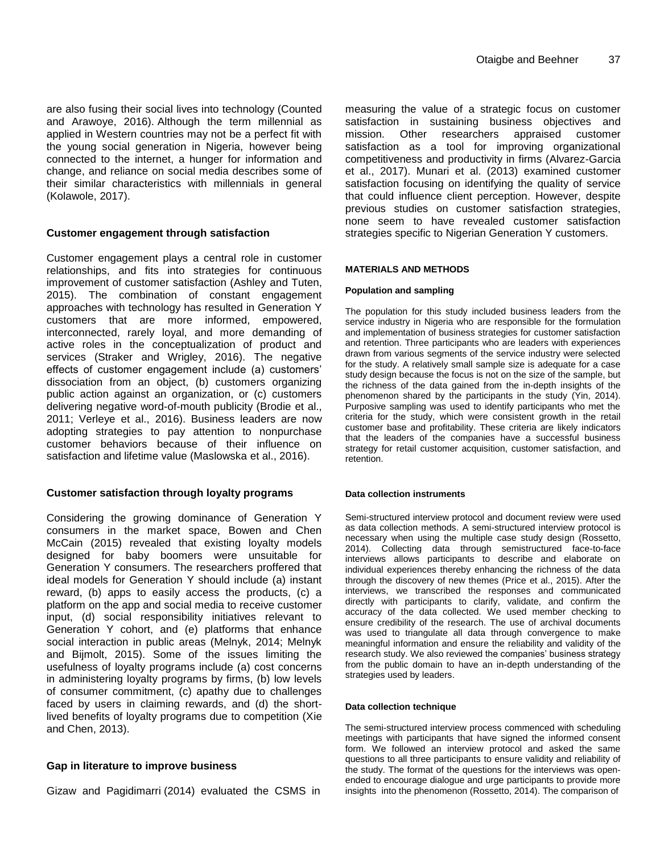are also fusing their social lives into technology (Counted and Arawoye, 2016). Although the term millennial as applied in Western countries may not be a perfect fit with the young social generation in Nigeria, however being connected to the internet, a hunger for information and change, and reliance on social media describes some of their similar characteristics with millennials in general (Kolawole, 2017).

#### **Customer engagement through satisfaction**

Customer engagement plays a central role in customer relationships, and fits into strategies for continuous improvement of customer satisfaction (Ashley and Tuten, 2015). The combination of constant engagement approaches with technology has resulted in Generation Y customers that are more informed, empowered, interconnected, rarely loyal, and more demanding of active roles in the conceptualization of product and services (Straker and Wrigley, 2016). The negative effects of customer engagement include (a) customers" dissociation from an object, (b) customers organizing public action against an organization, or (c) customers delivering negative word-of-mouth publicity (Brodie et al., 2011; Verleye et al., 2016). Business leaders are now adopting strategies to pay attention to nonpurchase customer behaviors because of their influence on satisfaction and lifetime value (Maslowska et al., 2016).

#### **Customer satisfaction through loyalty programs**

Considering the growing dominance of Generation Y consumers in the market space, Bowen and Chen McCain (2015) revealed that existing loyalty models designed for baby boomers were unsuitable for Generation Y consumers. The researchers proffered that ideal models for Generation Y should include (a) instant reward, (b) apps to easily access the products, (c) a platform on the app and social media to receive customer input, (d) social responsibility initiatives relevant to Generation Y cohort, and (e) platforms that enhance social interaction in public areas (Melnyk, 2014; Melnyk and Bijmolt, 2015). Some of the issues limiting the usefulness of loyalty programs include (a) cost concerns in administering loyalty programs by firms, (b) low levels of consumer commitment, (c) apathy due to challenges faced by users in claiming rewards, and (d) the shortlived benefits of loyalty programs due to competition (Xie and Chen, 2013).

# **Gap in literature to improve business**

Gizaw and Pagidimarri (2014) evaluated the CSMS in

measuring the value of a strategic focus on customer satisfaction in sustaining business objectives and mission. Other researchers appraised customer satisfaction as a tool for improving organizational competitiveness and productivity in firms (Alvarez-Garcia et al., 2017). Munari et al. (2013) examined customer satisfaction focusing on identifying the quality of service that could influence client perception. However, despite previous studies on customer satisfaction strategies, none seem to have revealed customer satisfaction strategies specific to Nigerian Generation Y customers.

#### **MATERIALS AND METHODS**

#### **Population and sampling**

The population for this study included business leaders from the service industry in Nigeria who are responsible for the formulation and implementation of business strategies for customer satisfaction and retention. Three participants who are leaders with experiences drawn from various segments of the service industry were selected for the study. A relatively small sample size is adequate for a case study design because the focus is not on the size of the sample, but the richness of the data gained from the in-depth insights of the phenomenon shared by the participants in the study (Yin, 2014). Purposive sampling was used to identify participants who met the criteria for the study, which were consistent growth in the retail customer base and profitability. These criteria are likely indicators that the leaders of the companies have a successful business strategy for retail customer acquisition, customer satisfaction, and retention.

#### **Data collection instruments**

Semi-structured interview protocol and document review were used as data collection methods. A semi-structured interview protocol is necessary when using the multiple case study design (Rossetto, 2014). Collecting data through semistructured face-to-face interviews allows participants to describe and elaborate on individual experiences thereby enhancing the richness of the data through the discovery of new themes (Price et al., 2015). After the interviews, we transcribed the responses and communicated directly with participants to clarify, validate, and confirm the accuracy of the data collected. We used member checking to ensure credibility of the research. The use of archival documents was used to triangulate all data through convergence to make meaningful information and ensure the reliability and validity of the research study. We also reviewed the companies" business strategy from the public domain to have an in-depth understanding of the strategies used by leaders.

#### **Data collection technique**

The semi-structured interview process commenced with scheduling meetings with participants that have signed the informed consent form. We followed an interview protocol and asked the same questions to all three participants to ensure validity and reliability of the study. The format of the questions for the interviews was openended to encourage dialogue and urge participants to provide more insights into the phenomenon (Rossetto, 2014). The comparison of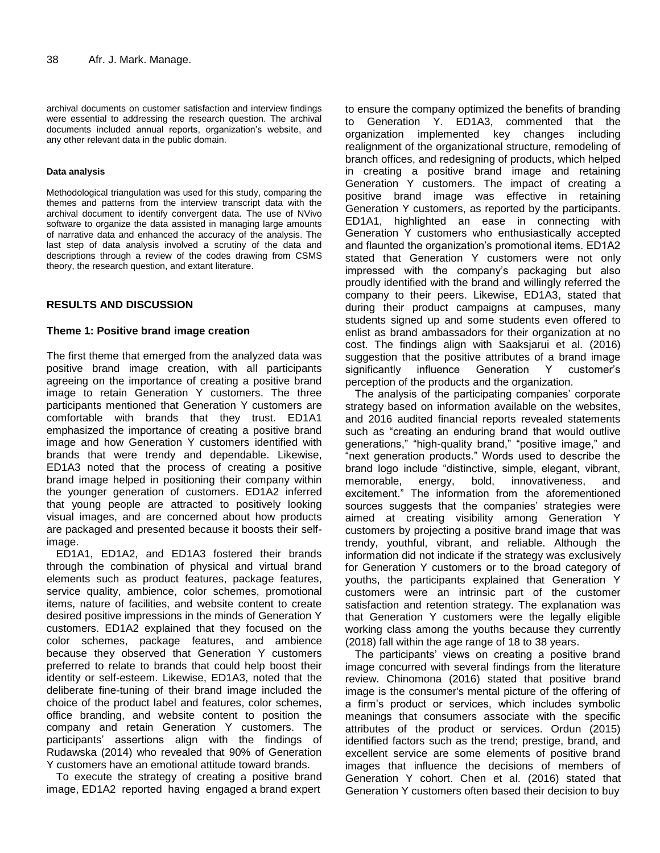archival documents on customer satisfaction and interview findings were essential to addressing the research question. The archival documents included annual reports, organization's website, and any other relevant data in the public domain.

#### **Data analysis**

Methodological triangulation was used for this study, comparing the themes and patterns from the interview transcript data with the archival document to identify convergent data. The use of NVivo software to organize the data assisted in managing large amounts of narrative data and enhanced the accuracy of the analysis. The last step of data analysis involved a scrutiny of the data and descriptions through a review of the codes drawing from CSMS theory, the research question, and extant literature.

# **RESULTS AND DISCUSSION**

#### **Theme 1: Positive brand image creation**

The first theme that emerged from the analyzed data was positive brand image creation, with all participants agreeing on the importance of creating a positive brand image to retain Generation Y customers. The three participants mentioned that Generation Y customers are comfortable with brands that they trust. ED1A1 emphasized the importance of creating a positive brand image and how Generation Y customers identified with brands that were trendy and dependable. Likewise, ED1A3 noted that the process of creating a positive brand image helped in positioning their company within the younger generation of customers. ED1A2 inferred that young people are attracted to positively looking visual images, and are concerned about how products are packaged and presented because it boosts their selfimage.

ED1A1, ED1A2, and ED1A3 fostered their brands through the combination of physical and virtual brand elements such as product features, package features, service quality, ambience, color schemes, promotional items, nature of facilities, and website content to create desired positive impressions in the minds of Generation Y customers. ED1A2 explained that they focused on the color schemes, package features, and ambience because they observed that Generation Y customers preferred to relate to brands that could help boost their identity or self-esteem. Likewise, ED1A3, noted that the deliberate fine-tuning of their brand image included the choice of the product label and features, color schemes, office branding, and website content to position the company and retain Generation Y customers. The participants" assertions align with the findings of Rudawska (2014) who revealed that 90% of Generation Y customers have an emotional attitude toward brands.

To execute the strategy of creating a positive brand image, ED1A2 reported having engaged a brand expert

to ensure the company optimized the benefits of branding to Generation Y. ED1A3, commented that the organization implemented key changes including realignment of the organizational structure, remodeling of branch offices, and redesigning of products, which helped in creating a positive brand image and retaining Generation Y customers. The impact of creating a positive brand image was effective in retaining Generation Y customers, as reported by the participants. ED1A1, highlighted an ease in connecting with Generation Y customers who enthusiastically accepted and flaunted the organization's promotional items. ED1A2 stated that Generation Y customers were not only impressed with the company"s packaging but also proudly identified with the brand and willingly referred the company to their peers. Likewise, ED1A3, stated that during their product campaigns at campuses, many students signed up and some students even offered to enlist as brand ambassadors for their organization at no cost. The findings align with Saaksjarui et al. (2016) suggestion that the positive attributes of a brand image significantly influence Generation Y customer"s perception of the products and the organization.

The analysis of the participating companies' corporate strategy based on information available on the websites, and 2016 audited financial reports revealed statements such as "creating an enduring brand that would outlive generations," "high-quality brand," "positive image," and "next generation products." Words used to describe the brand logo include "distinctive, simple, elegant, vibrant, memorable, energy, bold, innovativeness, and excitement." The information from the aforementioned sources suggests that the companies' strategies were aimed at creating visibility among Generation Y customers by projecting a positive brand image that was trendy, youthful, vibrant, and reliable. Although the information did not indicate if the strategy was exclusively for Generation Y customers or to the broad category of youths, the participants explained that Generation Y customers were an intrinsic part of the customer satisfaction and retention strategy. The explanation was that Generation Y customers were the legally eligible working class among the youths because they currently (2018) fall within the age range of 18 to 38 years.

The participants' views on creating a positive brand image concurred with several findings from the literature review. Chinomona (2016) stated that positive brand image is the consumer's mental picture of the offering of a firm"s product or services, which includes symbolic meanings that consumers associate with the specific attributes of the product or services. Ordun (2015) identified factors such as the trend; prestige, brand, and excellent service are some elements of positive brand images that influence the decisions of members of Generation Y cohort. Chen et al. (2016) stated that Generation Y customers often based their decision to buy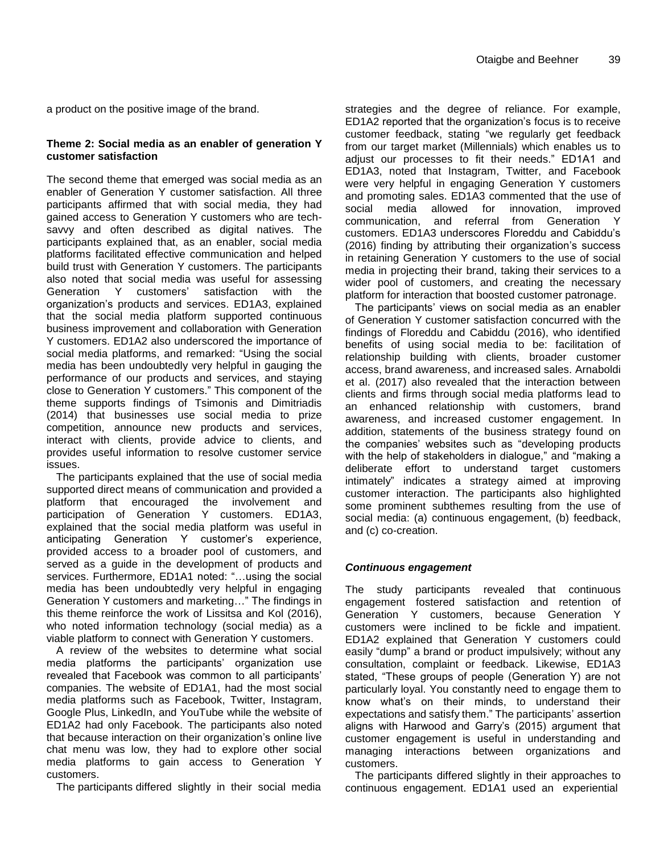a product on the positive image of the brand.

#### **Theme 2: Social media as an enabler of generation Y customer satisfaction**

The second theme that emerged was social media as an enabler of Generation Y customer satisfaction. All three participants affirmed that with social media, they had gained access to Generation Y customers who are techsavvy and often described as digital natives. The participants explained that, as an enabler, social media platforms facilitated effective communication and helped build trust with Generation Y customers. The participants also noted that social media was useful for assessing Generation Y customers" satisfaction with the organization"s products and services. ED1A3, explained that the social media platform supported continuous business improvement and collaboration with Generation Y customers. ED1A2 also underscored the importance of social media platforms, and remarked: "Using the social media has been undoubtedly very helpful in gauging the performance of our products and services, and staying close to Generation Y customers." This component of the theme supports findings of Tsimonis and Dimitriadis (2014) that businesses use social media to prize competition, announce new products and services, interact with clients, provide advice to clients, and provides useful information to resolve customer service issues.

The participants explained that the use of social media supported direct means of communication and provided a platform that encouraged the involvement and participation of Generation Y customers. ED1A3, explained that the social media platform was useful in anticipating Generation Y customer"s experience, provided access to a broader pool of customers, and served as a guide in the development of products and services. Furthermore, ED1A1 noted: "…using the social media has been undoubtedly very helpful in engaging Generation Y customers and marketing…" The findings in this theme reinforce the work of Lissitsa and Kol (2016), who noted information technology (social media) as a viable platform to connect with Generation Y customers.

A review of the websites to determine what social media platforms the participants' organization use revealed that Facebook was common to all participants" companies. The website of ED1A1, had the most social media platforms such as Facebook, Twitter, Instagram, Google Plus, LinkedIn, and YouTube while the website of ED1A2 had only Facebook. The participants also noted that because interaction on their organization"s online live chat menu was low, they had to explore other social media platforms to gain access to Generation Y customers.

The participants differed slightly in their social media

strategies and the degree of reliance. For example, ED1A2 reported that the organization"s focus is to receive customer feedback, stating "we regularly get feedback from our target market (Millennials) which enables us to adjust our processes to fit their needs." ED1A1 and ED1A3, noted that Instagram, Twitter, and Facebook were very helpful in engaging Generation Y customers and promoting sales. ED1A3 commented that the use of social media allowed for innovation, improved communication, and referral from Generation Y customers. ED1A3 underscores Floreddu and Cabiddu"s (2016) finding by attributing their organization"s success in retaining Generation Y customers to the use of social media in projecting their brand, taking their services to a wider pool of customers, and creating the necessary platform for interaction that boosted customer patronage.

The participants' views on social media as an enabler of Generation Y customer satisfaction concurred with the findings of Floreddu and Cabiddu (2016), who identified benefits of using social media to be: facilitation of relationship building with clients, broader customer access, brand awareness, and increased sales. Arnaboldi et al. (2017) also revealed that the interaction between clients and firms through social media platforms lead to an enhanced relationship with customers, brand awareness, and increased customer engagement. In addition, statements of the business strategy found on the companies' websites such as "developing products with the help of stakeholders in dialogue," and "making a deliberate effort to understand target customers intimately" indicates a strategy aimed at improving customer interaction. The participants also highlighted some prominent subthemes resulting from the use of social media: (a) continuous engagement, (b) feedback, and (c) co-creation.

# *Continuous engagement*

The study participants revealed that continuous engagement fostered satisfaction and retention of Generation Y customers, because Generation Y customers were inclined to be fickle and impatient. ED1A2 explained that Generation Y customers could easily "dump" a brand or product impulsively; without any consultation, complaint or feedback. Likewise, ED1A3 stated, "These groups of people (Generation Y) are not particularly loyal. You constantly need to engage them to know what"s on their minds, to understand their expectations and satisfy them." The participants' assertion aligns with Harwood and Garry"s (2015) argument that customer engagement is useful in understanding and managing interactions between organizations and customers.

The participants differed slightly in their approaches to continuous engagement. ED1A1 used an experiential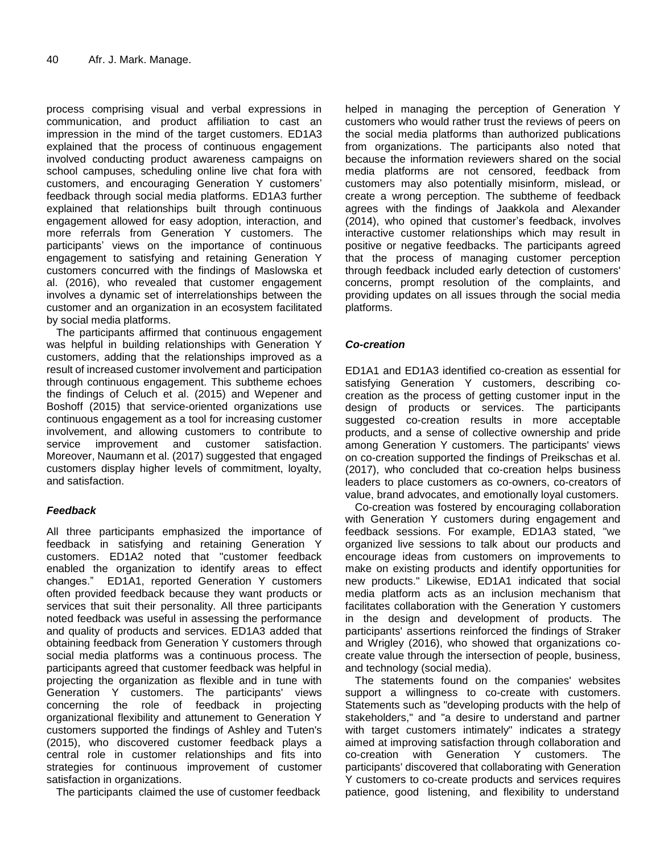process comprising visual and verbal expressions in communication, and product affiliation to cast an impression in the mind of the target customers. ED1A3 explained that the process of continuous engagement involved conducting product awareness campaigns on school campuses, scheduling online live chat fora with customers, and encouraging Generation Y customers" feedback through social media platforms. ED1A3 further explained that relationships built through continuous engagement allowed for easy adoption, interaction, and more referrals from Generation Y customers. The participants" views on the importance of continuous engagement to satisfying and retaining Generation Y customers concurred with the findings of Maslowska et al. (2016), who revealed that customer engagement involves a dynamic set of interrelationships between the customer and an organization in an ecosystem facilitated by social media platforms.

The participants affirmed that continuous engagement was helpful in building relationships with Generation Y customers, adding that the relationships improved as a result of increased customer involvement and participation through continuous engagement. This subtheme echoes the findings of Celuch et al. (2015) and Wepener and Boshoff (2015) that service-oriented organizations use continuous engagement as a tool for increasing customer involvement, and allowing customers to contribute to service improvement and customer satisfaction. Moreover, Naumann et al. (2017) suggested that engaged customers display higher levels of commitment, loyalty, and satisfaction.

# *Feedback*

All three participants emphasized the importance of feedback in satisfying and retaining Generation Y customers. ED1A2 noted that "customer feedback enabled the organization to identify areas to effect changes." ED1A1, reported Generation Y customers often provided feedback because they want products or services that suit their personality. All three participants noted feedback was useful in assessing the performance and quality of products and services. ED1A3 added that obtaining feedback from Generation Y customers through social media platforms was a continuous process. The participants agreed that customer feedback was helpful in projecting the organization as flexible and in tune with Generation Y customers. The participants' views concerning the role of feedback in projecting organizational flexibility and attunement to Generation Y customers supported the findings of Ashley and Tuten's (2015), who discovered customer feedback plays a central role in customer relationships and fits into strategies for continuous improvement of customer satisfaction in organizations.

The participants claimed the use of customer feedback

helped in managing the perception of Generation Y customers who would rather trust the reviews of peers on the social media platforms than authorized publications from organizations. The participants also noted that because the information reviewers shared on the social media platforms are not censored, feedback from customers may also potentially misinform, mislead, or create a wrong perception. The subtheme of feedback agrees with the findings of Jaakkola and Alexander (2014), who opined that customer"s feedback, involves interactive customer relationships which may result in positive or negative feedbacks. The participants agreed that the process of managing customer perception through feedback included early detection of customers' concerns, prompt resolution of the complaints, and providing updates on all issues through the social media platforms.

# *Co-creation*

ED1A1 and ED1A3 identified co-creation as essential for satisfying Generation Y customers, describing cocreation as the process of getting customer input in the design of products or services. The participants suggested co-creation results in more acceptable products, and a sense of collective ownership and pride among Generation Y customers. The participants' views on co-creation supported the findings of Preikschas et al. (2017), who concluded that co-creation helps business leaders to place customers as co-owners, co-creators of value, brand advocates, and emotionally loyal customers.

Co-creation was fostered by encouraging collaboration with Generation Y customers during engagement and feedback sessions. For example, ED1A3 stated, "we organized live sessions to talk about our products and encourage ideas from customers on improvements to make on existing products and identify opportunities for new products." Likewise, ED1A1 indicated that social media platform acts as an inclusion mechanism that facilitates collaboration with the Generation Y customers in the design and development of products. The participants' assertions reinforced the findings of Straker and Wrigley (2016), who showed that organizations cocreate value through the intersection of people, business, and technology (social media).

The statements found on the companies' websites support a willingness to co-create with customers. Statements such as "developing products with the help of stakeholders," and "a desire to understand and partner with target customers intimately" indicates a strategy aimed at improving satisfaction through collaboration and co-creation with Generation Y customers. The participants' discovered that collaborating with Generation Y customers to co-create products and services requires patience, good listening, and flexibility to understand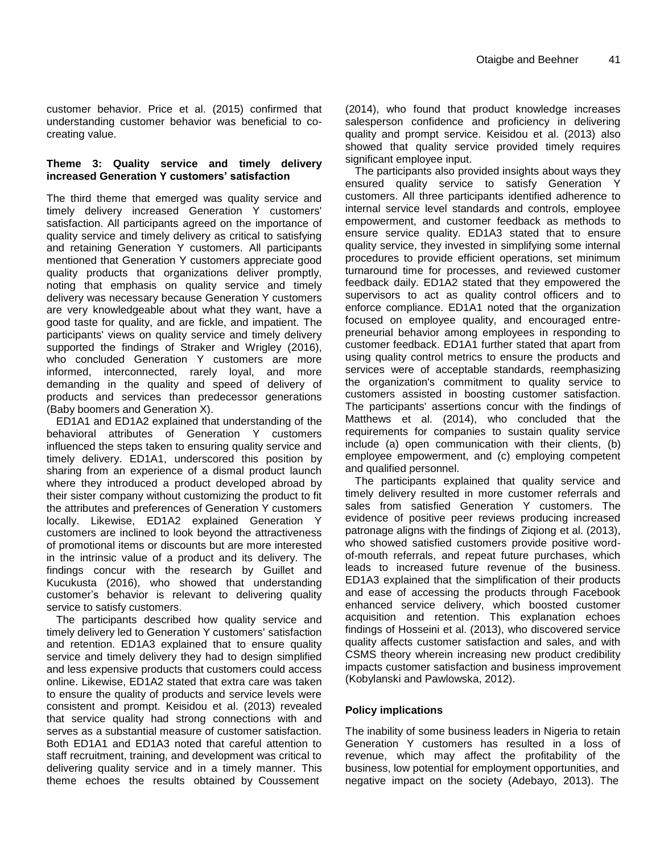customer behavior. Price et al. (2015) confirmed that understanding customer behavior was beneficial to cocreating value.

# **Theme 3: Quality service and timely delivery increased Generation Y customers' satisfaction**

The third theme that emerged was quality service and timely delivery increased Generation Y customers' satisfaction. All participants agreed on the importance of quality service and timely delivery as critical to satisfying and retaining Generation Y customers. All participants mentioned that Generation Y customers appreciate good quality products that organizations deliver promptly, noting that emphasis on quality service and timely delivery was necessary because Generation Y customers are very knowledgeable about what they want, have a good taste for quality, and are fickle, and impatient. The participants' views on quality service and timely delivery supported the findings of Straker and Wrigley (2016), who concluded Generation Y customers are more informed, interconnected, rarely loyal, and more demanding in the quality and speed of delivery of products and services than predecessor generations (Baby boomers and Generation X).

ED1A1 and ED1A2 explained that understanding of the behavioral attributes of Generation Y customers influenced the steps taken to ensuring quality service and timely delivery. ED1A1, underscored this position by sharing from an experience of a dismal product launch where they introduced a product developed abroad by their sister company without customizing the product to fit the attributes and preferences of Generation Y customers locally. Likewise, ED1A2 explained Generation Y customers are inclined to look beyond the attractiveness of promotional items or discounts but are more interested in the intrinsic value of a product and its delivery. The findings concur with the research by Guillet and Kucukusta (2016), who showed that understanding customer"s behavior is relevant to delivering quality service to satisfy customers.

The participants described how quality service and timely delivery led to Generation Y customers' satisfaction and retention. ED1A3 explained that to ensure quality service and timely delivery they had to design simplified and less expensive products that customers could access online. Likewise, ED1A2 stated that extra care was taken to ensure the quality of products and service levels were consistent and prompt. Keisidou et al. (2013) revealed that service quality had strong connections with and serves as a substantial measure of customer satisfaction. Both ED1A1 and ED1A3 noted that careful attention to staff recruitment, training, and development was critical to delivering quality service and in a timely manner. This theme echoes the results obtained by Coussement

(2014), who found that product knowledge increases salesperson confidence and proficiency in delivering quality and prompt service. Keisidou et al. (2013) also showed that quality service provided timely requires significant employee input.

The participants also provided insights about ways they ensured quality service to satisfy Generation Y customers. All three participants identified adherence to internal service level standards and controls, employee empowerment, and customer feedback as methods to ensure service quality. ED1A3 stated that to ensure quality service, they invested in simplifying some internal procedures to provide efficient operations, set minimum turnaround time for processes, and reviewed customer feedback daily. ED1A2 stated that they empowered the supervisors to act as quality control officers and to enforce compliance. ED1A1 noted that the organization focused on employee quality, and encouraged entrepreneurial behavior among employees in responding to customer feedback. ED1A1 further stated that apart from using quality control metrics to ensure the products and services were of acceptable standards, reemphasizing the organization's commitment to quality service to customers assisted in boosting customer satisfaction. The participants' assertions concur with the findings of Matthews et al. (2014), who concluded that the requirements for companies to sustain quality service include (a) open communication with their clients, (b) employee empowerment, and (c) employing competent and qualified personnel.

The participants explained that quality service and timely delivery resulted in more customer referrals and sales from satisfied Generation Y customers. The evidence of positive peer reviews producing increased patronage aligns with the findings of Ziqiong et al. (2013), who showed satisfied customers provide positive wordof-mouth referrals, and repeat future purchases, which leads to increased future revenue of the business. ED1A3 explained that the simplification of their products and ease of accessing the products through Facebook enhanced service delivery, which boosted customer acquisition and retention. This explanation echoes findings of Hosseini et al. (2013), who discovered service quality affects customer satisfaction and sales, and with CSMS theory wherein increasing new product credibility impacts customer satisfaction and business improvement (Kobylanski and Pawlowska, 2012).

# **Policy implications**

The inability of some business leaders in Nigeria to retain Generation Y customers has resulted in a loss of revenue, which may affect the profitability of the business, low potential for employment opportunities, and negative impact on the society (Adebayo, 2013). The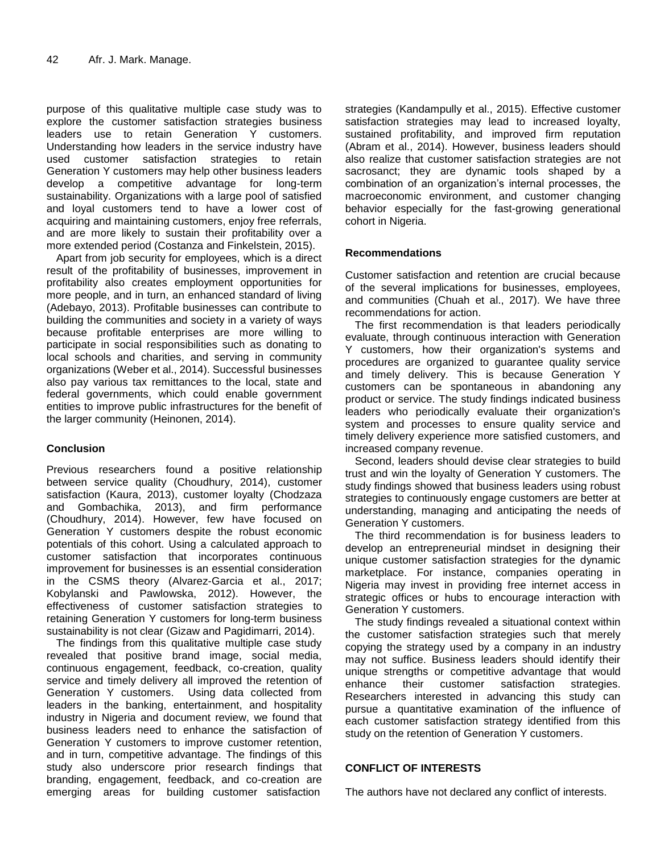purpose of this qualitative multiple case study was to explore the customer satisfaction strategies business leaders use to retain Generation Y customers. Understanding how leaders in the service industry have used customer satisfaction strategies to retain Generation Y customers may help other business leaders develop a competitive advantage for long-term sustainability. Organizations with a large pool of satisfied and loyal customers tend to have a lower cost of acquiring and maintaining customers, enjoy free referrals, and are more likely to sustain their profitability over a more extended period (Costanza and Finkelstein, 2015).

Apart from job security for employees, which is a direct result of the profitability of businesses, improvement in profitability also creates employment opportunities for more people, and in turn, an enhanced standard of living (Adebayo, 2013). Profitable businesses can contribute to building the communities and society in a variety of ways because profitable enterprises are more willing to participate in social responsibilities such as donating to local schools and charities, and serving in community organizations (Weber et al., 2014). Successful businesses also pay various tax remittances to the local, state and federal governments, which could enable government entities to improve public infrastructures for the benefit of the larger community (Heinonen, 2014).

# **Conclusion**

Previous researchers found a positive relationship between service quality (Choudhury, 2014), customer satisfaction (Kaura, 2013), customer loyalty (Chodzaza and Gombachika, 2013), and firm performance (Choudhury, 2014). However, few have focused on Generation Y customers despite the robust economic potentials of this cohort. Using a calculated approach to customer satisfaction that incorporates continuous improvement for businesses is an essential consideration in the CSMS theory (Alvarez-Garcia et al., 2017; Kobylanski and Pawlowska, 2012). However, the effectiveness of customer satisfaction strategies to retaining Generation Y customers for long-term business sustainability is not clear (Gizaw and Pagidimarri, 2014).

The findings from this qualitative multiple case study revealed that positive brand image, social media, continuous engagement, feedback, co-creation, quality service and timely delivery all improved the retention of Generation Y customers. Using data collected from leaders in the banking, entertainment, and hospitality industry in Nigeria and document review, we found that business leaders need to enhance the satisfaction of Generation Y customers to improve customer retention, and in turn, competitive advantage. The findings of this study also underscore prior research findings that branding, engagement, feedback, and co-creation are emerging areas for building customer satisfaction

strategies (Kandampully et al., 2015). Effective customer satisfaction strategies may lead to increased loyalty, sustained profitability, and improved firm reputation (Abram et al., 2014). However, business leaders should also realize that customer satisfaction strategies are not sacrosanct; they are dynamic tools shaped by a combination of an organization's internal processes, the macroeconomic environment, and customer changing behavior especially for the fast-growing generational cohort in Nigeria.

# **Recommendations**

Customer satisfaction and retention are crucial because of the several implications for businesses, employees, and communities (Chuah et al., 2017). We have three recommendations for action.

The first recommendation is that leaders periodically evaluate, through continuous interaction with Generation Y customers, how their organization's systems and procedures are organized to guarantee quality service and timely delivery. This is because Generation Y customers can be spontaneous in abandoning any product or service. The study findings indicated business leaders who periodically evaluate their organization's system and processes to ensure quality service and timely delivery experience more satisfied customers, and increased company revenue.

Second, leaders should devise clear strategies to build trust and win the loyalty of Generation Y customers. The study findings showed that business leaders using robust strategies to continuously engage customers are better at understanding, managing and anticipating the needs of Generation Y customers.

The third recommendation is for business leaders to develop an entrepreneurial mindset in designing their unique customer satisfaction strategies for the dynamic marketplace. For instance, companies operating in Nigeria may invest in providing free internet access in strategic offices or hubs to encourage interaction with Generation Y customers.

The study findings revealed a situational context within the customer satisfaction strategies such that merely copying the strategy used by a company in an industry may not suffice. Business leaders should identify their unique strengths or competitive advantage that would enhance their customer satisfaction strategies. Researchers interested in advancing this study can pursue a quantitative examination of the influence of each customer satisfaction strategy identified from this study on the retention of Generation Y customers.

# **CONFLICT OF INTERESTS**

The authors have not declared any conflict of interests.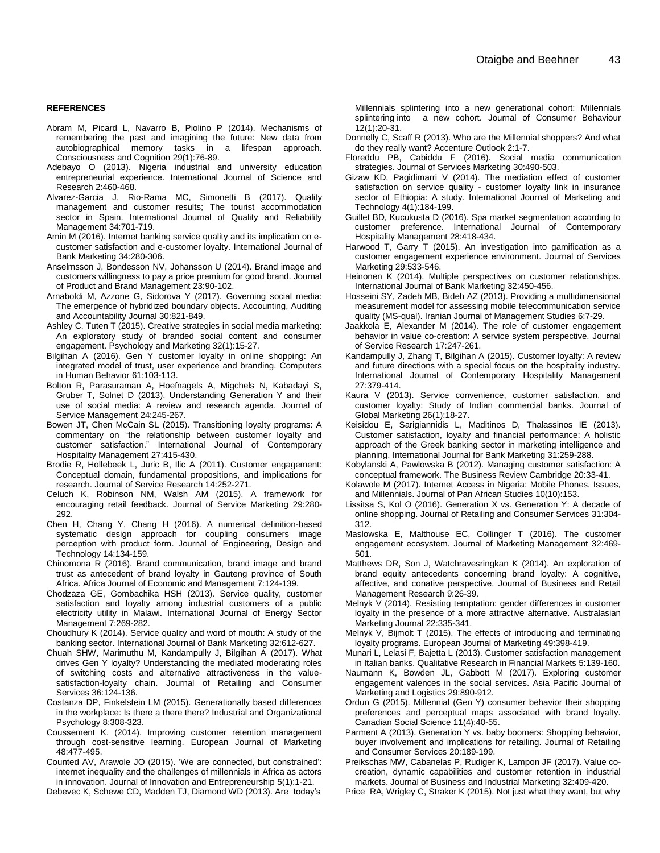#### **REFERENCES**

Abram M, Picard L, Navarro B, Piolino P (2014). Mechanisms of remembering the past and imagining the future: New data from autobiographical memory tasks in a lifespan approach. Consciousness and Cognition 29(1):76-89.

- Adebayo O (2013). Nigeria industrial and university education entrepreneurial experience. International Journal of Science and Research 2:460-468.
- Alvarez-Garcia J, Rio-Rama MC, Simonetti B (2017). Quality management and customer results; The tourist accommodation sector in Spain. International Journal of Quality and Reliability Management 34:701-719.
- Amin M (2016). Internet banking service quality and its implication on ecustomer satisfaction and e-customer loyalty. International Journal of Bank Marketing 34:280-306.
- Anselmsson J, Bondesson NV, Johansson U (2014). Brand image and customers willingness to pay a price premium for good brand. Journal of Product and Brand Management 23:90-102.
- Arnaboldi M, Azzone G, Sidorova Y (2017). Governing social media: The emergence of hybridized boundary objects. Accounting, Auditing and Accountability Journal 30:821-849.
- Ashley C, Tuten T (2015). Creative strategies in social media marketing: An exploratory study of branded social content and consumer engagement. Psychology and Marketing 32(1):15-27.
- Bilgihan A (2016). Gen Y customer loyalty in online shopping: An integrated model of trust, user experience and branding. Computers in Human Behavior 61:103-113.
- Bolton R, Parasuraman A, Hoefnagels A, Migchels N, Kabadayi S, Gruber T, Solnet D (2013). Understanding Generation Y and their use of social media: A review and research agenda. Journal of Service Management 24:245-267.
- Bowen JT, Chen McCain SL (2015). Transitioning loyalty programs: A commentary on "the relationship between customer loyalty and customer satisfaction." International Journal of Contemporary Hospitality Management 27:415-430.
- Brodie R, Hollebeek L, Juric B, Ilic A (2011). Customer engagement: Conceptual domain, fundamental propositions, and implications for research. Journal of Service Research 14:252-271.
- Celuch K, Robinson NM, Walsh AM (2015). A framework for encouraging retail feedback. Journal of Service Marketing 29:280- 292.
- Chen H, Chang Y, Chang H (2016). A numerical definition-based systematic design approach for coupling consumers image perception with product form. Journal of Engineering, Design and Technology 14:134-159.
- Chinomona R (2016). Brand communication, brand image and brand trust as antecedent of brand loyalty in Gauteng province of South Africa. Africa Journal of Economic and Management 7:124-139.
- Chodzaza GE, Gombachika HSH (2013). Service quality, customer satisfaction and loyalty among industrial customers of a public electricity utility in Malawi. International Journal of Energy Sector Management 7:269-282.
- Choudhury K (2014). Service quality and word of mouth: A study of the banking sector. International Journal of Bank Marketing 32:612-627.
- Chuah SHW, Marimuthu M, Kandampully J, Bilgihan A (2017). What drives Gen Y loyalty? Understanding the mediated moderating roles of switching costs and alternative attractiveness in the valuesatisfaction-loyalty chain. Journal of Retailing and Consumer Services 36:124-136.
- Costanza DP, Finkelstein LM (2015). Generationally based differences in the workplace: Is there a there there? Industrial and Organizational Psychology 8:308-323.
- Coussement K. (2014). Improving customer retention management through cost-sensitive learning. European Journal of Marketing 48:477-495.
- Counted AV, Arawole JO (2015). "We are connected, but constrained": internet inequality and the challenges of millennials in Africa as actors in innovation. Journal of Innovation and Entrepreneurship 5(1):1-21.

Debevec K, Schewe CD, Madden TJ, Diamond WD (2013). Are today"s

Millennials splintering into a new generational cohort: Millennials splintering into a new cohort. Journal of Consumer Behaviour 12(1):20-31.

- Donnelly C, Scaff R (2013). Who are the Millennial shoppers? And what do they really want? Accenture Outlook 2:1-7.
- Floreddu PB, Cabiddu F (2016). Social media communication strategies. Journal of Services Marketing 30:490-503.
- Gizaw KD, Pagidimarri V (2014). The mediation effect of customer satisfaction on service quality - customer loyalty link in insurance sector of Ethiopia: A study*.* International Journal of Marketing and Technology 4(1):184-199.
- Guillet BD, Kucukusta D (2016). Spa market segmentation according to customer preference. International Journal of Contemporary Hospitality Management 28:418-434.
- Harwood T, Garry T (2015). An investigation into gamification as a customer engagement experience environment. Journal of Services Marketing 29:533-546.
- Heinonen K (2014). Multiple perspectives on customer relationships. International Journal of Bank Marketing 32:450-456.
- Hosseini SY, Zadeh MB, Bideh AZ (2013). Providing a multidimensional measurement model for assessing mobile telecommunication service quality (MS-qual). Iranian Journal of Management Studies 6:7-29.
- Jaakkola E, Alexander M (2014). The role of customer engagement behavior in value co-creation: A service system perspective. Journal of Service Research 17:247-261.
- Kandampully J, Zhang T, Bilgihan A (2015). Customer loyalty: A review and future directions with a special focus on the hospitality industry. International Journal of Contemporary Hospitality Management 27:379-414.
- Kaura V (2013). Service convenience, customer satisfaction, and customer loyalty: Study of Indian commercial banks. Journal of Global Marketing 26(1):18-27.
- Keisidou E, Sarigiannidis L, Maditinos D, Thalassinos IE (2013). Customer satisfaction, loyalty and financial performance: A holistic approach of the Greek banking sector in marketing intelligence and planning. International Journal for Bank Marketing 31:259-288.
- Kobylanski A, Pawlowska B (2012). Managing customer satisfaction: A conceptual framework. The Business Review Cambridge 20:33-41.
- Kolawole M (2017). Internet Access in Nigeria: Mobile Phones, Issues, and Millennials. Journal of Pan African Studies 10(10):153.
- Lissitsa S, Kol O (2016). Generation X vs. Generation Y: A decade of online shopping. Journal of Retailing and Consumer Services 31:304- 312.
- Maslowska E, Malthouse EC, Collinger T (2016). The customer engagement ecosystem. Journal of Marketing Management 32:469- 501.
- Matthews DR, Son J, Watchravesringkan K (2014). An exploration of brand equity antecedents concerning brand loyalty: A cognitive, affective, and conative perspective. Journal of Business and Retail Management Research 9:26-39.
- Melnyk V (2014). Resisting temptation: gender differences in customer loyalty in the presence of a more attractive alternative. Australasian Marketing Journal 22:335-341.
- Melnyk V, Bijmolt T (2015). The effects of introducing and terminating loyalty programs. European Journal of Marketing 49:398-419.
- Munari L, Lelasi F, Bajetta L (2013). Customer satisfaction management in Italian banks. Qualitative Research in Financial Markets 5:139-160.
- Naumann K, Bowden JL, Gabbott M (2017). Exploring customer engagement valences in the social services. Asia Pacific Journal of Marketing and Logistics 29:890-912.
- Ordun G (2015). Millennial (Gen Y) consumer behavior their shopping preferences and perceptual maps associated with brand loyalty. Canadian Social Science 11(4):40-55.
- Parment A (2013). Generation Y vs. baby boomers: Shopping behavior, buyer involvement and implications for retailing. Journal of Retailing and Consumer Services 20:189-199.
- Preikschas MW, Cabanelas P, Rudiger K, Lampon JF (2017). Value cocreation, dynamic capabilities and customer retention in industrial markets. Journal of Business and Industrial Marketing 32:409-420.
- Price RA, Wrigley C, Straker K (2015). Not just what they want, but why